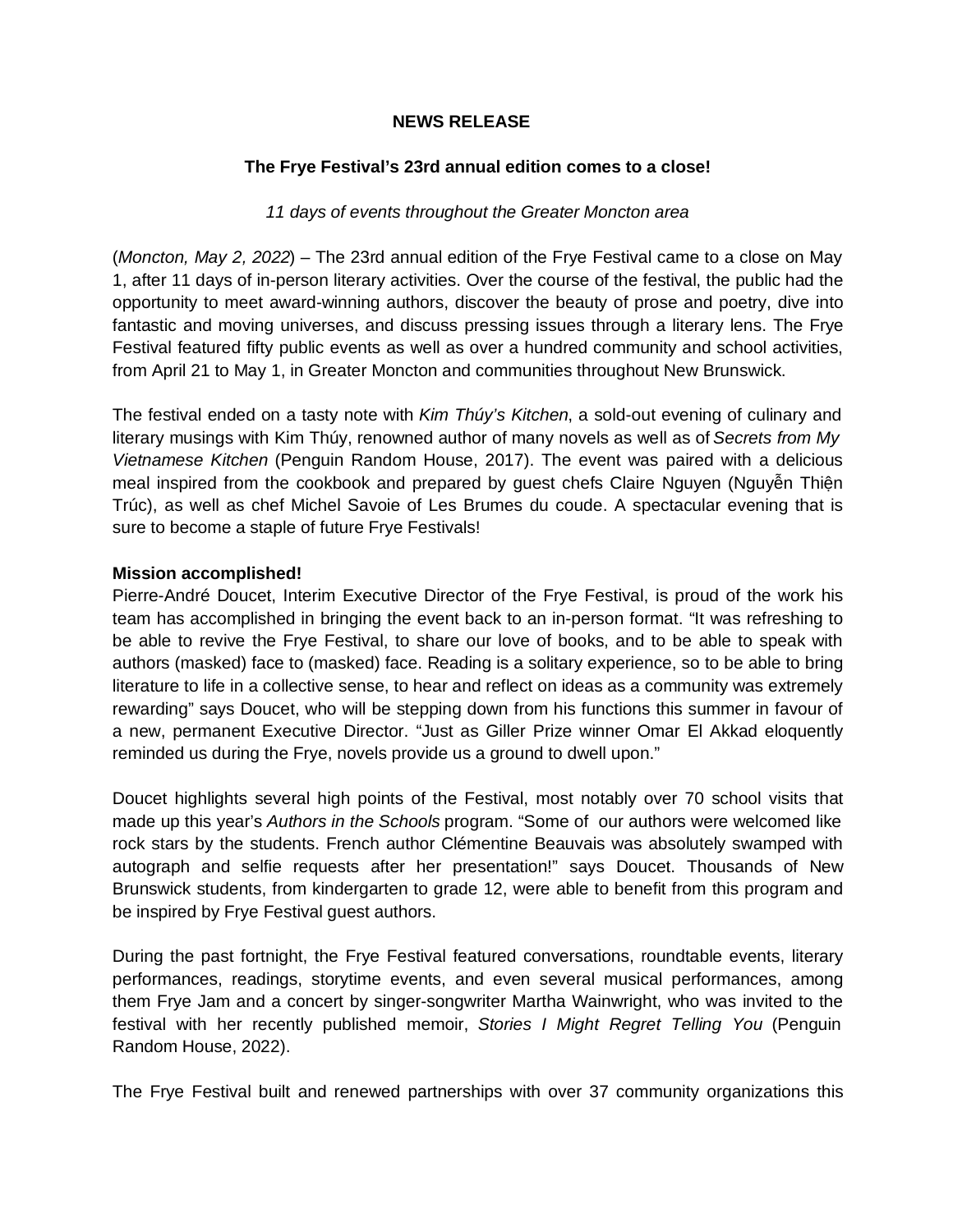### **NEWS RELEASE**

## **The Frye Festival's 23rd annual edition comes to a close!**

### *11 days of events throughout the Greater Moncton area*

(*Moncton, May 2, 2022*) – The 23rd annual edition of the Frye Festival came to a close on May 1, after 11 days of in-person literary activities. Over the course of the festival, the public had the opportunity to meet award-winning authors, discover the beauty of prose and poetry, dive into fantastic and moving universes, and discuss pressing issues through a literary lens. The Frye Festival featured fifty public events as well as over a hundred community and school activities, from April 21 to May 1, in Greater Moncton and communities throughout New Brunswick.

The festival ended on a tasty note with *Kim Thúy's Kitchen*, a sold-out evening of culinary and literary musings with Kim Thúy, renowned author of many novels as well as of *Secrets from My Vietnamese Kitchen* (Penguin Random House, 2017). The event was paired with a delicious meal inspired from the cookbook and prepared by guest chefs Claire Nguyen (Nguyễn Thiện Trúc), as well as chef Michel Savoie of Les Brumes du coude. A spectacular evening that is sure to become a staple of future Frye Festivals!

#### **Mission accomplished!**

Pierre-André Doucet, Interim Executive Director of the Frye Festival, is proud of the work his team has accomplished in bringing the event back to an in-person format. "It was refreshing to be able to revive the Frye Festival, to share our love of books, and to be able to speak with authors (masked) face to (masked) face. Reading is a solitary experience, so to be able to bring literature to life in a collective sense, to hear and reflect on ideas as a community was extremely rewarding" says Doucet, who will be stepping down from his functions this summer in favour of a new, permanent Executive Director. "Just as Giller Prize winner Omar El Akkad eloquently reminded us during the Frye, novels provide us a ground to dwell upon."

Doucet highlights several high points of the Festival, most notably over 70 school visits that made up this year's *Authors in the Schools* program. "Some of our authors were welcomed like rock stars by the students. French author Clémentine Beauvais was absolutely swamped with autograph and selfie requests after her presentation!" says Doucet. Thousands of New Brunswick students, from kindergarten to grade 12, were able to benefit from this program and be inspired by Frye Festival guest authors.

During the past fortnight, the Frye Festival featured conversations, roundtable events, literary performances, readings, storytime events, and even several musical performances, among them Frye Jam and a concert by singer-songwriter Martha Wainwright, who was invited to the festival with her recently published memoir, *Stories I Might Regret Telling You* (Penguin Random House, 2022).

The Frye Festival built and renewed partnerships with over 37 community organizations this